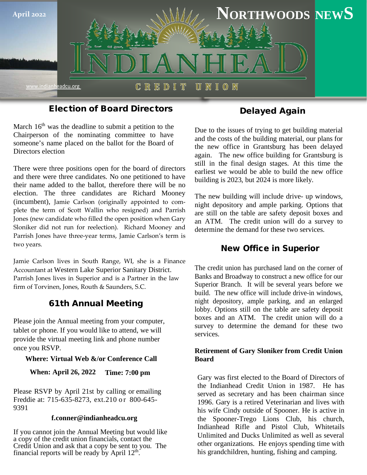

# Election of Board Directors

March  $16<sup>th</sup>$  was the deadline to submit a petition to the Chairperson of the nominating committee to have someone's name placed on the ballot for the Board of Directors election

There were three positions open for the board of directors and there were three candidates. No one petitioned to have their name added to the ballot, therefore there will be no election. The three candidates are Richard Mooney (incumbent), Jamie Carlson (originally appointed to complete the term of Scott Wallin who resigned) and Parrish Jones (new candidate who filled the open position when Gary Sloniker did not run for reelection). Richard Mooney and Parrish Jones have three-year terms, Jamie Carlson's term is two years.

Jamie Carlson lives in South Range, WI, she is a Finance Accountant at Western Lake Superior Sanitary District. Parrish Jones lives in Superior and is a Partner in the law firm of Torvinen, Jones, Routh & Saunders, S.C.

# 61th Annual Meeting

Please join the Annual meeting from your computer, tablet or phone. If you would like to attend, we will provide the virtual meeting link and phone number once you RSVP.

#### **Where: Virtual Web &/or Conference Call**

**When: April 26, 2022 Time: 7:00 pm**

Please RSVP by April 21st by calling or emailing Freddie at: 715-635-8273, ext.210 or 800-645-9391

#### **[f.conner@indianheadcu.org](mailto:f.conner@indianheadcu.org)**

If you cannot join the Annual Meeting but would like a copy of the credit union financials, contact the Credit Union and ask that a copy be sent to you. The financial reports will be ready by April  $12<sup>th</sup>$ .

# Delayed Again

Due to the issues of trying to get building material and the costs of the building material, our plans for the new office in Grantsburg has been delayed again. The new office building for Grantsburg is still in the final design stages. At this time the earliest we would be able to build the new office building is 2023, but 2024 is more likely.

The new building will include drive- up windows, night depository and ample parking. Options that are still on the table are safety deposit boxes and an ATM. The credit union will do a survey to determine the demand for these two services.

## New Office in Superior

The credit union has purchased land on the corner of Banks and Broadway to construct a new office for our Superior Branch. It will be several years before we build. The new office will include drive-in windows, night depository, ample parking, and an enlarged lobby. Options still on the table are safety deposit boxes and an ATM. The credit union will do a survey to determine the demand for these two services.

## **Retirement of Gary Sloniker from Credit Union Board**

Gary was first elected to the Board of Directors of the Indianhead Credit Union in 1987. He has served as secretary and has been chairman since 1996. Gary is a retired Veterinarian and lives with his wife Cindy outside of Spooner. He is active in the Spooner-Trego Lions Club, his church, Indianhead Rifle and Pistol Club, Whitetails Unlimited and Ducks Unlimited as well as several other organizations. He enjoys spending time with his grandchildren, hunting, fishing and camping.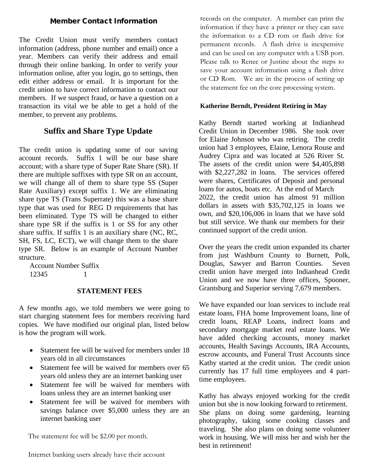## Member Contact Information

The Credit Union must verify members contact information (address, phone number and email) once a year. Members can verify their address and email through their online banking. In order to verify your information online, after you login, go to settings, then edit either address or email. It is important for the credit union to have correct information to contact our members. If we suspect fraud, or have a question on a transaction its vital we be able to get a hold of the member, to prevent any problems.

## **Suffix and Share Type Update**

The credit union is updating some of our saving account records. Suffix 1 will be our base share account; with a share type of Super Rate Share (SR). If there are multiple suffixes with type SR on an account, we will change all of them to share type SS (Super Rate Auxiliary) except suffix 1. We are eliminating share type TS (Trans Superrate) this was a base share type that was used for REG D requirements that has been eliminated. Type TS will be changed to either share type SR if the suffix is 1 or SS for any other share suffix. If suffix 1 is an auxiliary share (NC, RC, SH, FS, LC, ECT), we will change them to the share type SR. Below is an example of Account Number structure.

Account Number Suffix 12345 1

### **STATEMENT FEES**

A few months ago, we told members we were going to start charging statement fees for members receiving hard copies. We have modified our original plan, listed below is how the program will work.

- Statement fee will be waived for members under 18 years old in all circumstances
- Statement fee will be waived for members over 65 years old unless they are an internet banking user
- Statement fee will be waived for members with loans unless they are an internet banking user
- Statement fee will be waived for members with savings balance over \$5,000 unless they are an internet banking user

The statement fee will be \$2.00 per month.

Internet banking users already have their account

records on the computer. A member can print the information if they have a printer or they can save the information to a CD rom or flash drive for permanent records. A flash drive is inexpensive and can be used on any computer with a USB port. Please talk to Renee or Justine about the steps to save your account information using a flash drive or CD Rom. We are in the process of setting up the statement fee on the core processing system.

#### **Katherine Berndt, President Retiring in May**

Kathy Berndt started working at Indianhead Credit Union in December 1986. She took over for Elaine Johnson who was retiring. The credit union had 3 employees, Elaine, Lenora Rouse and Audrey Cipra and was located at 526 River St. The assets of the credit union were \$4,405,898 with \$2,227,282 in loans. The services offered were shares, Certificates of Deposit and personal loans for autos, boats etc. At the end of March 2022, the credit union has almost 91 million dollars in assets with \$35,702,125 in loans we own, and \$20,106,006 in loans that we have sold but still service. We thank our members for their continued support of the credit union.

Over the years the credit union expanded its charter from just Washburn County to Burnett, Polk, Douglas, Sawyer and Barron Counties. Seven credit union have merged into Indianhead Credit Union and we now have three offices, Spooner, Grantsburg and Superior serving 7,679 members.

We have expanded our loan services to include real estate loans, FHA home Improvement loans, line of credit loans, REAP Loans, indirect loans and secondary mortgage market real estate loans. We have added checking accounts, money market accounts, Health Savings Accounts, IRA Accounts, escrow accounts, and Funeral Trust Accounts since Kathy started at the credit union. The credit union currently has 17 full time employees and 4 parttime employees.

Kathy has always enjoyed working for the credit union but she is now looking forward to retirement. She plans on doing some gardening, learning photography, taking some cooking classes and traveling. She also plans on doing some volunteer work in housing. We will miss her and wish her the best in retirement!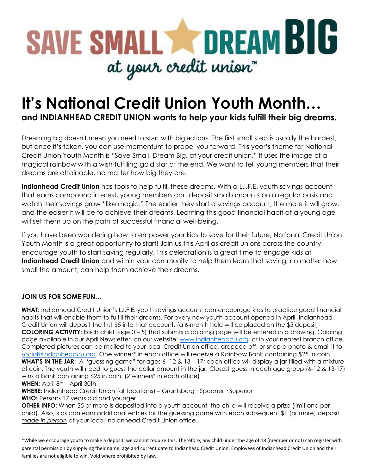

# **It's National Credit Union Youth Month… and INDIANHEAD CREDIT UNION wants to help your kids fulfill their big dreams.**

Dreaming big doesn't mean you need to start with big actions. The first small step is usually the hardest, but once it's taken, you can use momentum to propel you forward. This year's theme for National Credit Union Youth Month is "Save Small. Dream Big. at your credit union." It uses the image of a magical rainbow with a wish-fulfilling gold star at the end. We want to tell young members that their dreams are attainable, no matter how big they are.

**Indianhead Credit Union** has tools to help fulfill these dreams. With a L.I.F.E. youth savings account that earns compound interest, young members can deposit small amounts on a regular basis and watch their savings grow "like magic." The earlier they start a savings account, the more it will grow, and the easier it will be to achieve their dreams. Learning this good financial habit at a young age will set them up on the path of successful financial well-being.

If you have been wondering how to empower your kids to save for their future, National Credit Union Youth Month is a great opportunity to start! Join us this April as credit unions across the country encourage youth to start saving regularly. This celebration is a great time to engage kids at **Indianhead Credit Union** and within your community to help them learn that saving, no matter how small the amount, can help them achieve their dreams.

## **JOIN US FOR SOME FUN…**

**WHAT:** Indianhead Credit Union's L.I.F.E. youth savings account can encourage kids to practice good financial habits that will enable them to fulfill their dreams. For every new youth account opened in April, Indianhead Credit Union will deposit the first \$5 into that account. (a 6-month hold will be placed on the \$5 deposit) **COLORING ACTIVITY**: Each child (age 0 – 5) that submits a coloring page will be entered in a drawing. Coloring page available in our April Newsletter, on our website: [www.indianheadcu.org,](http://www.indianheadcu.org/) or in your nearest branch office. Completed pictures can be mailed to your local Credit Union office, dropped off, or snap a photo & email it to: [social@indianheadcu.org.](mailto:social@indianheadcu.org) One winner\* in each office will receive a Rainbow Bank containing \$25 in coin. **WHAT'S IN THE JAR:** A "guessing game" for ages 6-12 & 13 – 17; each office will display a jar filled with a mixture of coin. The youth will need to guess the dollar amount in the jar. Closest guess in each age group (6-12 & 13-17) wins a bank containing \$25 in coin. (2 winners\* in each office)

#### WHEN: April 8<sup>th</sup> – April 30th

**WHERE:** Indianhead Credit Union (all locations) – Grantsburg · Spooner · Superior

**WHO:** Persons 17 years old and younger

**OTHER INFO:** When \$5 or more is deposited into a youth account, the child will receive a prize (limit one per child). Also, kids can earn additional entries for the guessing game with each subsequent \$1 (or more) deposit *made in person* at your local Indianhead Credit Union office.

\*While we encourage youth to make a deposit, we cannot require this. Therefore, any child under the age of 18 (member or not) can register with parental permission by supplying their name, age and current date to Indianhead Credit Union. Employees of Indianhead Credit Union and their families are not eligible to win. Void where prohibited by law.